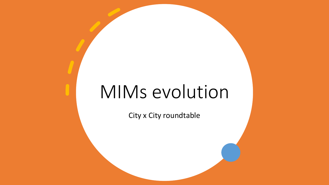# MIMs evolution

City x City roundtable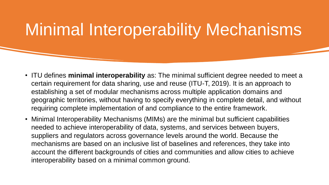# Minimal Interoperability Mechanisms

- ITU defines **minimal interoperability** as: The minimal sufficient degree needed to meet a certain requirement for data sharing, use and reuse (ITU-T, 2019). It is an approach to establishing a set of modular mechanisms across multiple application domains and geographic territories, without having to specify everything in complete detail, and without requiring complete implementation of and compliance to the entire framework.
- Minimal Interoperability Mechanisms (MIMs) are the minimal but sufficient capabilities needed to achieve interoperability of data, systems, and services between buyers, suppliers and regulators across governance levels around the world. Because the mechanisms are based on an inclusive list of baselines and references, they take into account the different backgrounds of cities and communities and allow cities to achieve interoperability based on a minimal common ground.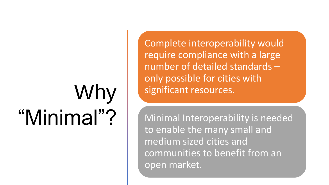# Why "Minimal"?

Complete interoperability would require compliance with a large number of detailed standards – only possible for cities with significant resources.

Minimal Interoperability is needed to enable the many small and medium sized cities and communities to benefit from an open market.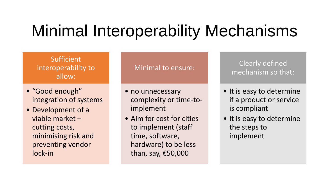# Minimal Interoperability Mechanisms

#### Sufficient interoperability to allow:

- "Good enough" integration of systems
- Development of a viable market – cutting costs, minimising risk and preventing vendor lock-in

#### Minimal to ensure:

- no unnecessary complexity or time-toimplement
- Aim for cost for cities to implement (staff time, software, hardware) to be less than, say, €50,000

Clearly defined mechanism so that:

- It is easy to determine if a product or service is compliant
- It is easy to determine the steps to implement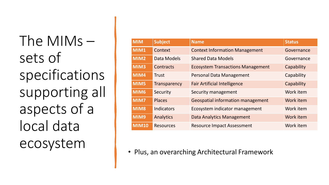The MIMs – sets of specifications supporting all aspects of a local data ecosystem

| <b>MIM</b>       | <b>Subject</b>      | <b>Name</b>                              | <b>Status</b> |
|------------------|---------------------|------------------------------------------|---------------|
| MIM1             | Context             | <b>Context Information Management</b>    | Governance    |
| MIM <sub>2</sub> | Data Models         | <b>Shared Data Models</b>                | Governance    |
| MIM3             | Contracts           | <b>Ecosystem Transactions Management</b> | Capability    |
| MIM4             | <b>Trust</b>        | <b>Personal Data Management</b>          | Capability    |
| MIM5             | <b>Transparency</b> | <b>Fair Artificial Intelligence</b>      | Capability    |
| MIM <sub>6</sub> | Security            | Security management                      | Work item     |
| MIM7             | <b>Places</b>       | <b>Geospatial information management</b> | Work item     |
| MIM8             | <b>Indicators</b>   | Ecosystem indicator management           | Work item     |
| MIM9             | Analytics           | Data Analytics Management                | Work item     |
| <b>MIM10</b>     | <b>Resources</b>    | <b>Resource Impact Assessment</b>        | Work item     |

• Plus, an overarching Architectural Framework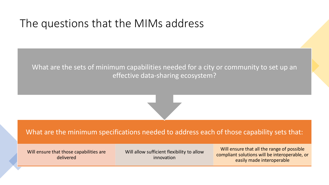#### The questions that the MIMs address

What are the sets of minimum capabilities needed for a city or community to set up an effective data-sharing ecosystem?

What are the minimum specifications needed to address each of those capability sets that:

Will ensure that those capabilities are delivered

Will allow sufficient flexibility to allow innovation

Will ensure that all the range of possible compliant solutions will be interoperable, or easily made interoperable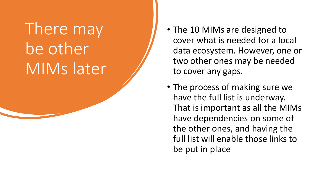# There may be other MIMs later

- The 10 MIMs are designed to cover what is needed for a local data ecosystem. However, one or two other ones may be needed to cover any gaps.
- The process of making sure we have the full list is underway. That is important as all the MIMs have dependencies on some of the other ones, and having the full list will enable those links to be put in place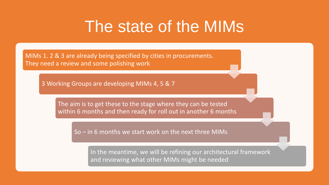## The state of the MIMs

MIMs 1. 2 & 3 are already being specified by cities in procurements. They need a review and some polishing work

3 Working Groups are developing MIMs 4, 5 & 7

The aim is to get these to the stage where they can be tested within 6 months and then ready for roll out in another 6 months

So – in 6 months we start work on the next three MIMs

In the meantime, we will be refining our architectural framework and reviewing what other MIMs might be needed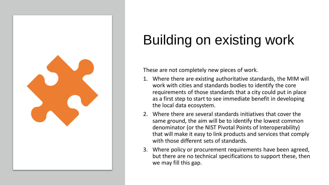

# Building on existing work

These are not completely new pieces of work.

- 1. Where there are existing authoritative standards, the MIM will work with cities and standards bodies to identify the core requirements of those standards that a city could put in place as a first step to start to see immediate benefit in developing the local data ecosystem.
- 2. Where there are several standards initiatives that cover the same ground, the aim will be to identify the lowest common denominator (or the NIST Pivotal Points of Interoperability) that will make it easy to link products and services that comply with those different sets of standards.
- 3. Where policy or procurement requirements have been agreed, but there are no technical specifications to support these, then we may fill this gap.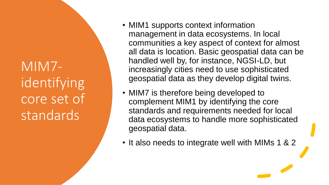MIM7 identifying core set of standards

- MIM1 supports context information management in data ecosystems. In local communities a key aspect of context for almost all data is location. Basic geospatial data can be handled well by, for instance, NGSI-LD, but increasingly cities need to use sophisticated geospatial data as they develop digital twins.
- MIM7 is therefore being developed to complement MIM1 by identifying the core standards and requirements needed for local data ecosystems to handle more sophisticated geospatial data.
- It also needs to integrate well with MIMs 1 & 2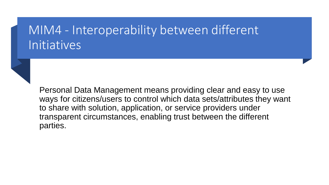### MIM4 - Interoperability between different Initiatives



Personal Data Management means providing clear and easy to use ways for citizens/users to control which data sets/attributes they want to share with solution, application, or service providers under transparent circumstances, enabling trust between the different parties.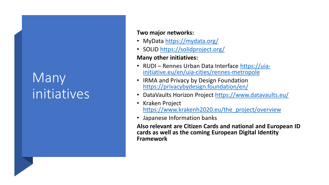## Many initiatives

#### **Two major networks:**

- MyData <https://mydata.org/>
- SOLID<https://solidproject.org/>

#### **Many other initiatives:**

- RUDI Rennes Urban Data Interface https://uia[initiative.eu/en/uia-cities/rennes-metropole](https://uia-initiative.eu/en/uia-cities/rennes-metropole)
- IRMA and Privacy by Design Foundation <https://privacybydesign.foundation/en/>
- DataVaults Horizon Project <https://www.datavaults.eu/>
- Kraken Project [https://www.krakenh2020.eu/the\\_project/overview](https://www.krakenh2020.eu/the_project/overview)
- Japanese Information banks

**Also relevant are Citizen Cards and national and European ID cards as well as the coming European Digital Identity Framework**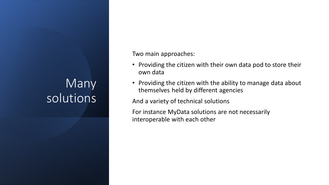### Many solutions

Two main approaches:

- Providing the citizen with their own data pod to store their own data
- Providing the citizen with the ability to manage data about themselves held by different agencies

And a variety of technical solutions

For instance MyData solutions are not necessarily interoperable with each other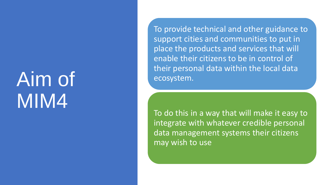# Aim of MIM4

To provide technical and other guidance to support cities and communities to put in place the products and services that will enable their citizens to be in control of their personal data within the local data ecosystem.

To do this in a way that will make it easy to integrate with whatever credible personal data management systems their citizens may wish to use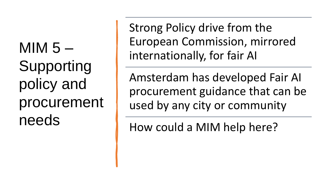MIM  $5-$ Supporting policy and procurement needs

Strong Policy drive from the European Commission, mirrored internationally, for fair AI

Amsterdam has developed Fair AI procurement guidance that can be used by any city or community

How could a MIM help here?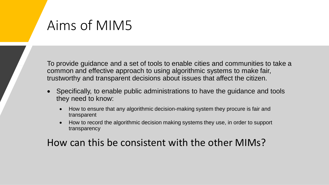## Aims of MIM5

To provide guidance and a set of tools to enable cities and communities to take a common and effective approach to using algorithmic systems to make fair, trustworthy and transparent decisions about issues that affect the citizen.

- Specifically, to enable public administrations to have the guidance and tools they need to know:
	- How to ensure that any algorithmic decision-making system they procure is fair and transparent
	- How to record the algorithmic decision making systems they use, in order to support transparency

#### How can this be consistent with the other MIMs?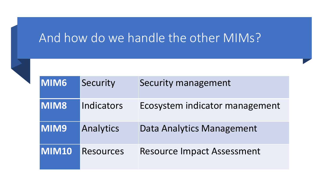### And how do we handle the other MIMs?

| <b>MIM6</b> | Security         | Security management               |
|-------------|------------------|-----------------------------------|
| <b>MIM8</b> | Indicators       | Ecosystem indicator management    |
| <b>MIM9</b> | Analytics        | Data Analytics Management         |
| MIM10       | <b>Resources</b> | <b>Resource Impact Assessment</b> |